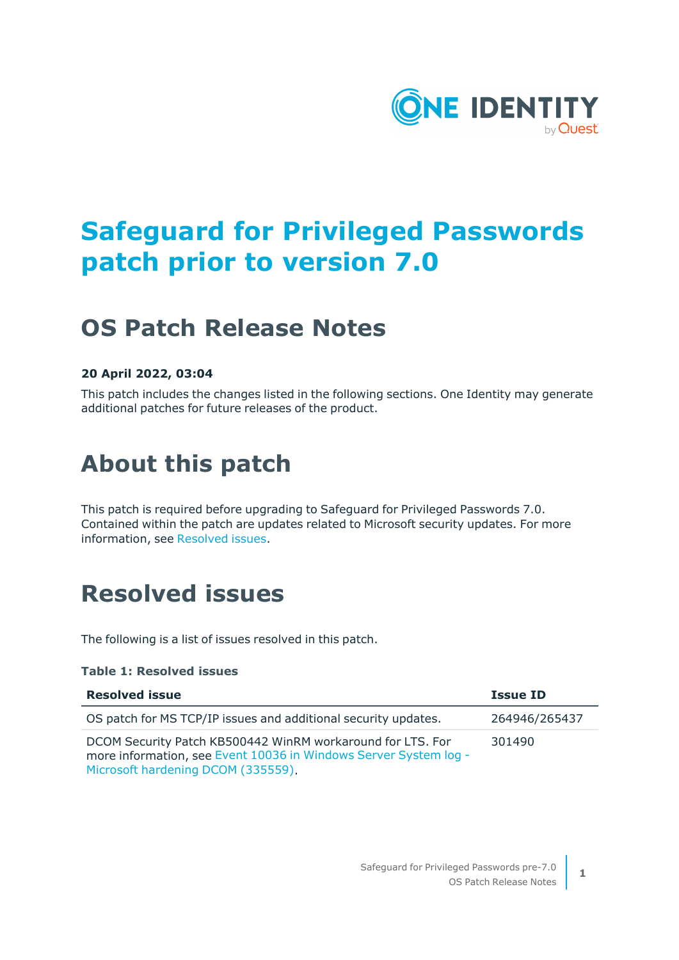

# **Safeguard for Privileged Passwords patch prior to version 7.0**

# **OS Patch Release Notes**

#### **20 April 2022, 03:04**

This patch includes the changes listed in the following sections. One Identity may generate additional patches for future releases of the product.

# **About this patch**

This patch is required before upgrading to Safeguard for Privileged Passwords 7.0. Contained within the patch are updates related to Microsoft security updates. For more information, see [Resolved](#page-0-0) issues.

## <span id="page-0-0"></span>**Resolved issues**

The following is a list of issues resolved in this patch.

#### **Table 1: Resolved issues**

| <b>Resolved issue</b>                                                                                                                                                | <b>Issue ID</b> |
|----------------------------------------------------------------------------------------------------------------------------------------------------------------------|-----------------|
| OS patch for MS TCP/IP issues and additional security updates.                                                                                                       | 264946/265437   |
| DCOM Security Patch KB500442 WinRM workaround for LTS. For<br>more information, see Event 10036 in Windows Server System log -<br>Microsoft hardening DCOM (335559). | 301490          |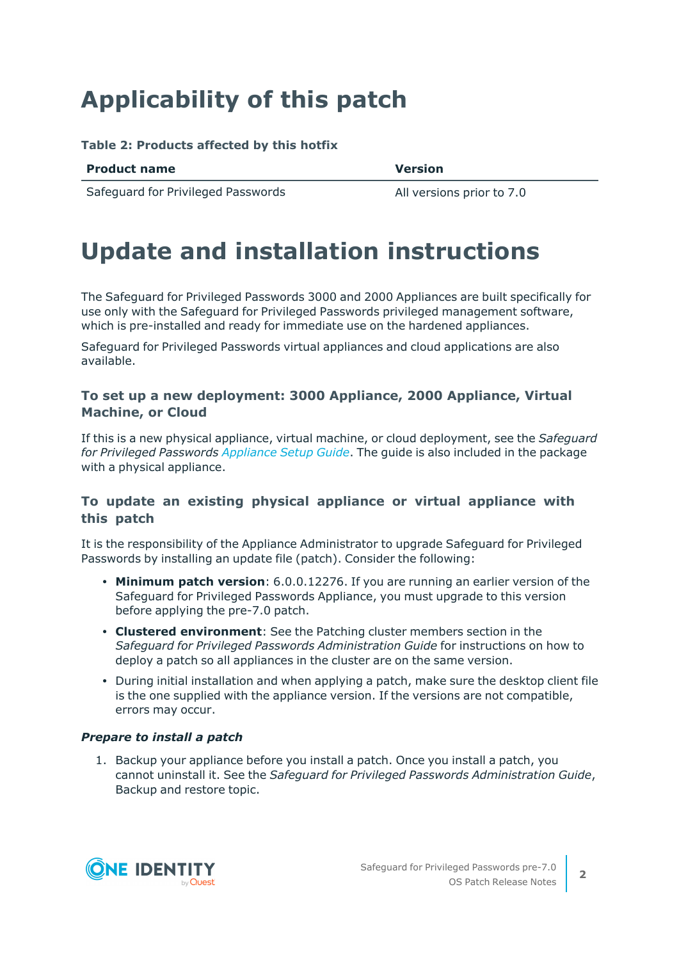# **Applicability of this patch**

#### **Table 2: Products affected by this hotfix**

| <b>Product name</b> | <b>Version</b> |
|---------------------|----------------|
|---------------------|----------------|

Safeguard for Privileged Passwords All versions prior to 7.0

## **Update and installation instructions**

The Safeguard for Privileged Passwords 3000 and 2000 Appliances are built specifically for use only with the Safeguard for Privileged Passwords privileged management software, which is pre-installed and ready for immediate use on the hardened appliances.

Safeguard for Privileged Passwords virtual appliances and cloud applications are also available.

#### **To set up a new deployment: 3000 Appliance, 2000 Appliance, Virtual Machine, or Cloud**

If this is a new physical appliance, virtual machine, or cloud deployment, see the *Safeguard for Privileged Passwords [Appliance](https://support.oneidentity.com/one-identity-safeguard-for-privileged-passwords/technical-documents) Setup Guide*. The guide is also included in the package with a physical appliance.

#### **To update an existing physical appliance or virtual appliance with this patch**

It is the responsibility of the Appliance Administrator to upgrade Safeguard for Privileged Passwords by installing an update file (patch). Consider the following:

- <sup>l</sup> **Minimum patch version**: 6.0.0.12276. If you are running an earlier version of the Safeguard for Privileged Passwords Appliance, you must upgrade to this version before applying the pre-7.0 patch.
- <sup>l</sup> **Clustered environment**: See the Patching cluster members section in the *Safeguard for Privileged Passwords Administration Guide* for instructions on how to deploy a patch so all appliances in the cluster are on the same version.
- During initial installation and when applying a patch, make sure the desktop client file is the one supplied with the appliance version. If the versions are not compatible, errors may occur.

#### *Prepare to install a patch*

1. Backup your appliance before you install a patch. Once you install a patch, you cannot uninstall it. See the *Safeguard for Privileged Passwords Administration Guide*, Backup and restore topic.

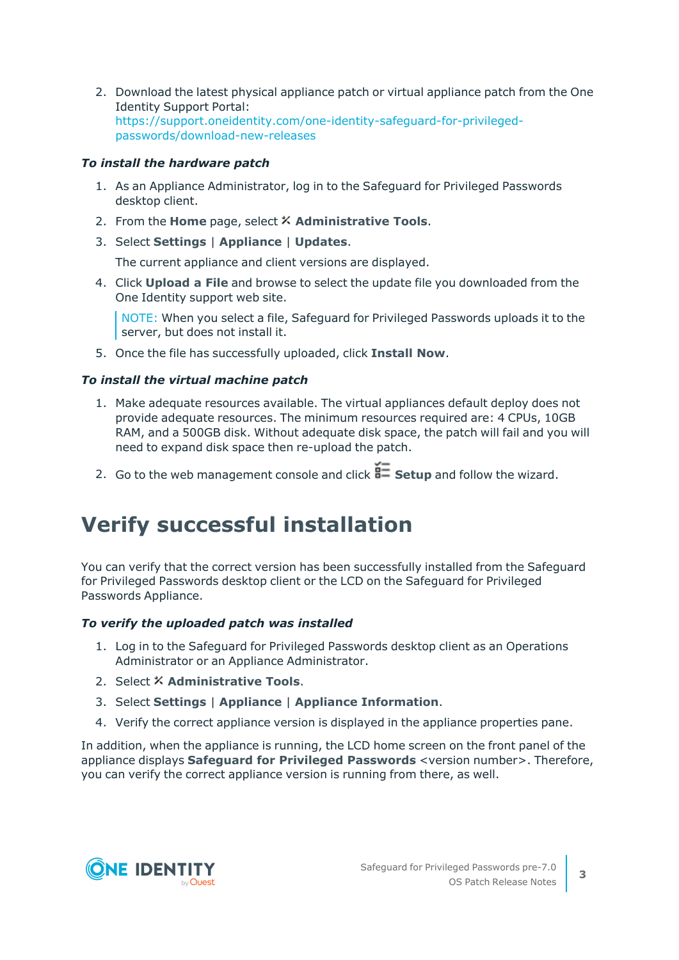2. Download the latest physical appliance patch or virtual appliance patch from the One Identity Support Portal: [https://support.oneidentity.com/one-identity-safeguard-for-privileged](https://support.oneidentity.com/one-identity-safeguard-for-privileged-passwords/download-new-releases)[passwords/download-new-releases](https://support.oneidentity.com/one-identity-safeguard-for-privileged-passwords/download-new-releases)

#### *To install the hardware patch*

- 1. As an Appliance Administrator, log in to the Safeguard for Privileged Passwords desktop client.
- 2. From the **Home** page, select **Administrative Tools**.
- 3. Select **Settings** | **Appliance** | **Updates**.

The current appliance and client versions are displayed.

4. Click **Upload a File** and browse to select the update file you downloaded from the One Identity support web site.

NOTE: When you select a file, Safeguard for Privileged Passwords uploads it to the server, but does not install it.

5. Once the file has successfully uploaded, click **Install Now**.

#### *To install the virtual machine patch*

- 1. Make adequate resources available. The virtual appliances default deploy does not provide adequate resources. The minimum resources required are: 4 CPUs, 10GB RAM, and a 500GB disk. Without adequate disk space, the patch will fail and you will need to expand disk space then re-upload the patch.
- 2. Go to the web management console and click **Setup** and follow the wizard.

### **Verify successful installation**

You can verify that the correct version has been successfully installed from the Safeguard for Privileged Passwords desktop client or the LCD on the Safeguard for Privileged Passwords Appliance.

#### *To verify the uploaded patch was installed*

- 1. Log in to the Safeguard for Privileged Passwords desktop client as an Operations Administrator or an Appliance Administrator.
- 2. Select **Administrative Tools**.
- 3. Select **Settings** | **Appliance** | **Appliance Information**.
- 4. Verify the correct appliance version is displayed in the appliance properties pane.

In addition, when the appliance is running, the LCD home screen on the front panel of the appliance displays **Safeguard for Privileged Passwords** <version number>. Therefore, you can verify the correct appliance version is running from there, as well.



**3**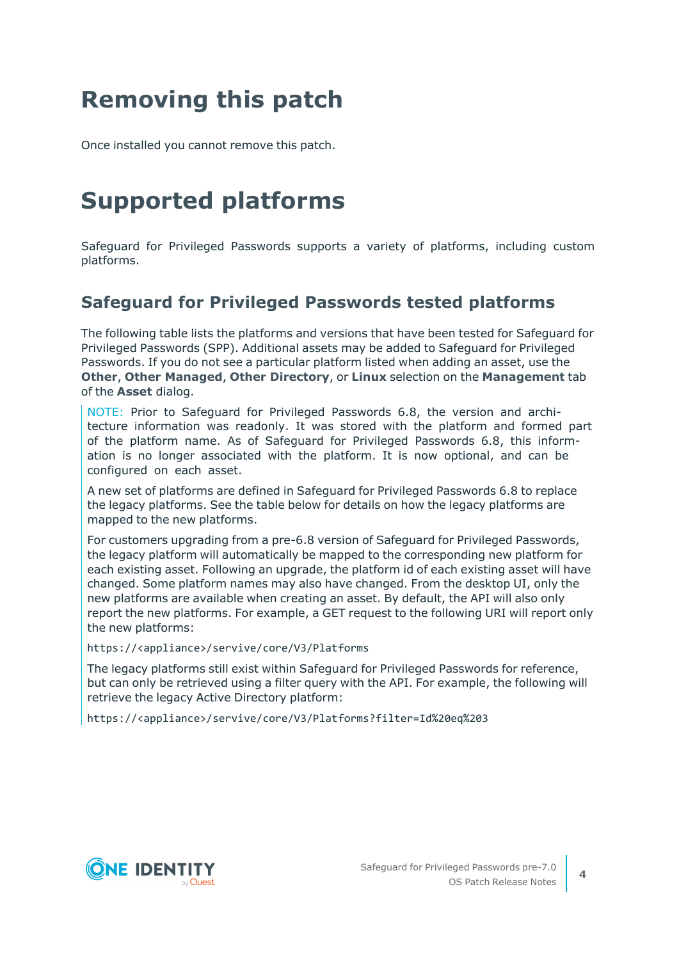# **Removing this patch**

Once installed you cannot remove this patch.

# **Supported platforms**

Safeguard for Privileged Passwords supports a variety of platforms, including custom platforms.

### **Safeguard for Privileged Passwords tested platforms**

The following table lists the platforms and versions that have been tested for Safeguard for Privileged Passwords (SPP). Additional assets may be added to Safeguard for Privileged Passwords. If you do not see a particular platform listed when adding an asset, use the **Other**, **Other Managed**, **Other Directory**, or **Linux** selection on the **Management** tab of the **Asset** dialog.

NOTE: Prior to Safeguard for Privileged Passwords 6.8, the version and architecture information was readonly. It was stored with the platform and formed part of the platform name. As of Safeguard for Privileged Passwords 6.8, this information is no longer associated with the platform. It is now optional, and can be configured on each asset.

A new set of platforms are defined in Safeguard for Privileged Passwords 6.8 to replace the legacy platforms. See the table below for details on how the legacy platforms are mapped to the new platforms.

For customers upgrading from a pre-6.8 version of Safeguard for Privileged Passwords, the legacy platform will automatically be mapped to the corresponding new platform for each existing asset. Following an upgrade, the platform id of each existing asset will have changed. Some platform names may also have changed. From the desktop UI, only the new platforms are available when creating an asset. By default, the API will also only report the new platforms. For example, a GET request to the following URI will report only the new platforms:

https://<appliance>/servive/core/V3/Platforms

The legacy platforms still exist within Safeguard for Privileged Passwords for reference, but can only be retrieved using a filter query with the API. For example, the following will retrieve the legacy Active Directory platform:

https://<appliance>/servive/core/V3/Platforms?filter=Id%20eq%203

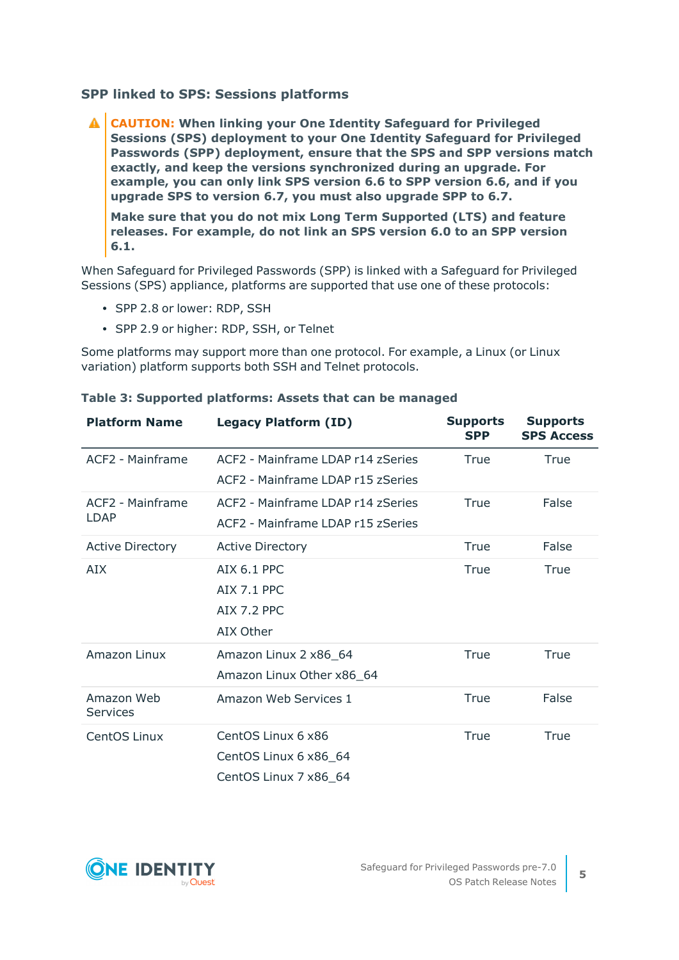#### **SPP linked to SPS: Sessions platforms**

**CAUTION: When linking your One Identity Safeguard for Privileged Sessions (SPS) deployment to your One Identity Safeguard for Privileged Passwords (SPP) deployment, ensure that the SPS and SPP versions match exactly, and keep the versions synchronized during an upgrade. For example, you can only link SPS version 6.6 to SPP version 6.6, and if you upgrade SPS to version 6.7, you must also upgrade SPP to 6.7.**

**Make sure that you do not mix Long Term Supported (LTS) and feature releases. For example, do not link an SPS version 6.0 to an SPP version 6.1.**

When Safeguard for Privileged Passwords (SPP) is linked with a Safeguard for Privileged Sessions (SPS) appliance, platforms are supported that use one of these protocols:

- SPP 2.8 or lower: RDP, SSH
- SPP 2.9 or higher: RDP, SSH, or Telnet

Some platforms may support more than one protocol. For example, a Linux (or Linux variation) platform supports both SSH and Telnet protocols.

| <b>Platform Name</b>          | <b>Legacy Platform (ID)</b>                                            | <b>Supports</b><br><b>SPP</b> | <b>Supports</b><br><b>SPS Access</b> |
|-------------------------------|------------------------------------------------------------------------|-------------------------------|--------------------------------------|
| ACF2 - Mainframe              | ACF2 - Mainframe LDAP r14 zSeries<br>ACF2 - Mainframe LDAP r15 zSeries | True                          | True                                 |
| ACF2 - Mainframe<br>LDAP      | ACF2 - Mainframe LDAP r14 zSeries<br>ACF2 - Mainframe LDAP r15 zSeries | True                          | False                                |
| <b>Active Directory</b>       | <b>Active Directory</b>                                                | True                          | False                                |
| AIX                           | AIX 6.1 PPC<br><b>AIX 7.1 PPC</b><br>AIX 7.2 PPC<br>AIX Other          | True                          | True                                 |
| <b>Amazon Linux</b>           | Amazon Linux 2 x86_64<br>Amazon Linux Other x86_64                     | True                          | True                                 |
| Amazon Web<br><b>Services</b> | Amazon Web Services 1                                                  | True                          | False                                |
| CentOS Linux                  | CentOS Linux 6 x86<br>CentOS Linux 6 x86_64<br>CentOS Linux 7 x86_64   | True                          | True                                 |

#### **Table 3: Supported platforms: Assets that can be managed**

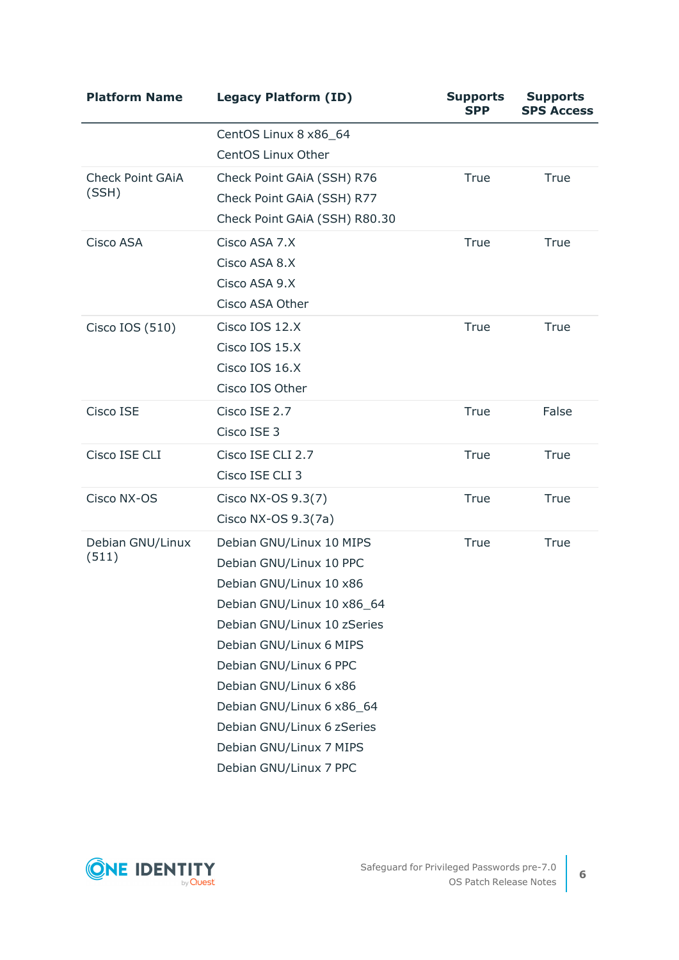| <b>Platform Name</b>             | <b>Legacy Platform (ID)</b>                                                                                                                                                                                                                                                                                                                | <b>Supports</b><br><b>SPP</b> | <b>Supports</b><br><b>SPS Access</b> |
|----------------------------------|--------------------------------------------------------------------------------------------------------------------------------------------------------------------------------------------------------------------------------------------------------------------------------------------------------------------------------------------|-------------------------------|--------------------------------------|
|                                  | CentOS Linux 8 x86_64<br>CentOS Linux Other                                                                                                                                                                                                                                                                                                |                               |                                      |
| <b>Check Point GAIA</b><br>(SSH) | Check Point GAiA (SSH) R76<br>Check Point GAiA (SSH) R77<br>Check Point GAIA (SSH) R80.30                                                                                                                                                                                                                                                  | True                          | True                                 |
| Cisco ASA                        | Cisco ASA 7.X<br>Cisco ASA 8.X<br>Cisco ASA 9.X<br>Cisco ASA Other                                                                                                                                                                                                                                                                         | True                          | True                                 |
| Cisco IOS (510)                  | Cisco IOS 12.X<br>Cisco IOS 15.X<br>Cisco IOS 16.X<br>Cisco IOS Other                                                                                                                                                                                                                                                                      | True                          | True                                 |
| Cisco ISE                        | Cisco ISE 2.7<br>Cisco ISE 3                                                                                                                                                                                                                                                                                                               | <b>True</b>                   | False                                |
| Cisco ISE CLI                    | Cisco ISE CLI 2.7<br>Cisco ISE CLI 3                                                                                                                                                                                                                                                                                                       | True                          | True                                 |
| Cisco NX-OS                      | Cisco NX-OS 9.3(7)<br>Cisco NX-OS 9.3(7a)                                                                                                                                                                                                                                                                                                  | True                          | True                                 |
| Debian GNU/Linux<br>(511)        | Debian GNU/Linux 10 MIPS<br>Debian GNU/Linux 10 PPC<br>Debian GNU/Linux 10 x86<br>Debian GNU/Linux 10 x86_64<br>Debian GNU/Linux 10 zSeries<br>Debian GNU/Linux 6 MIPS<br>Debian GNU/Linux 6 PPC<br>Debian GNU/Linux 6 x86<br>Debian GNU/Linux 6 x86 64<br>Debian GNU/Linux 6 zSeries<br>Debian GNU/Linux 7 MIPS<br>Debian GNU/Linux 7 PPC | True                          | True                                 |

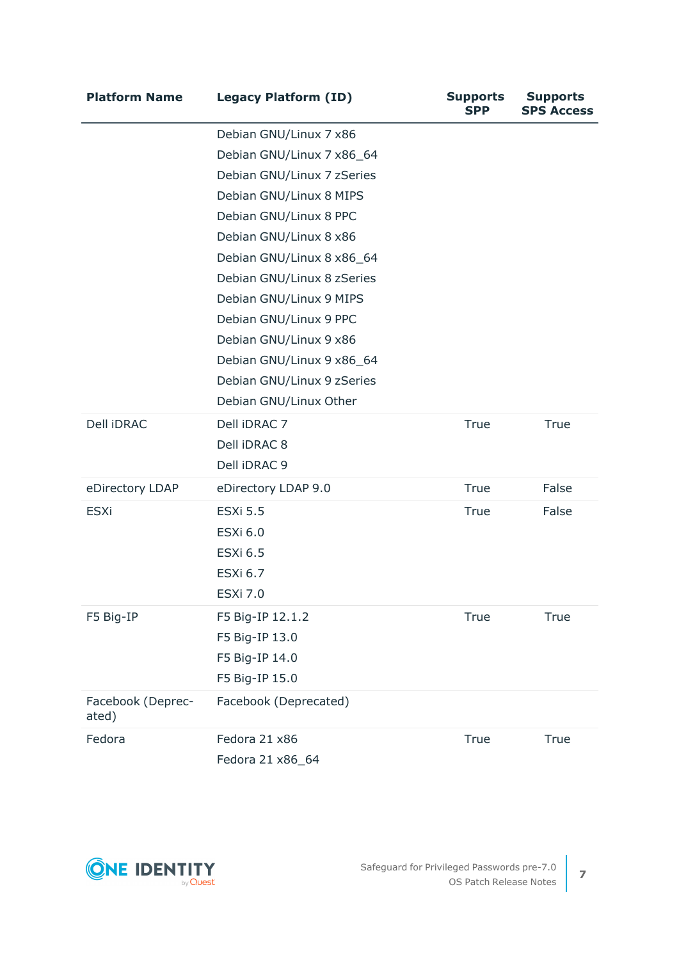| <b>Platform Name</b>       | <b>Legacy Platform (ID)</b>                                                                                                                                                                                                                                                                                                                                                                     | <b>Supports</b><br><b>SPP</b> | <b>Supports</b><br><b>SPS Access</b> |
|----------------------------|-------------------------------------------------------------------------------------------------------------------------------------------------------------------------------------------------------------------------------------------------------------------------------------------------------------------------------------------------------------------------------------------------|-------------------------------|--------------------------------------|
|                            | Debian GNU/Linux 7 x86<br>Debian GNU/Linux 7 x86_64<br>Debian GNU/Linux 7 zSeries<br>Debian GNU/Linux 8 MIPS<br>Debian GNU/Linux 8 PPC<br>Debian GNU/Linux 8 x86<br>Debian GNU/Linux 8 x86_64<br>Debian GNU/Linux 8 zSeries<br>Debian GNU/Linux 9 MIPS<br>Debian GNU/Linux 9 PPC<br>Debian GNU/Linux 9 x86<br>Debian GNU/Linux 9 x86_64<br>Debian GNU/Linux 9 zSeries<br>Debian GNU/Linux Other |                               |                                      |
| Dell iDRAC                 | Dell iDRAC 7<br>Dell iDRAC 8<br>Dell iDRAC 9                                                                                                                                                                                                                                                                                                                                                    | True                          | True                                 |
| eDirectory LDAP            | eDirectory LDAP 9.0                                                                                                                                                                                                                                                                                                                                                                             | True                          | False                                |
| <b>ESXi</b>                | <b>ESXi 5.5</b><br><b>ESXi 6.0</b><br><b>ESXi 6.5</b><br><b>ESXi 6.7</b><br><b>ESXi 7.0</b>                                                                                                                                                                                                                                                                                                     | True                          | False                                |
| F5 Big-IP                  | F5 Big-IP 12.1.2<br>F5 Big-IP 13.0<br>F5 Big-IP 14.0<br>F5 Big-IP 15.0                                                                                                                                                                                                                                                                                                                          | <b>True</b>                   | True                                 |
| Facebook (Deprec-<br>ated) | Facebook (Deprecated)                                                                                                                                                                                                                                                                                                                                                                           |                               |                                      |
| Fedora                     | Fedora 21 x86<br>Fedora 21 x86_64                                                                                                                                                                                                                                                                                                                                                               | True                          | True                                 |

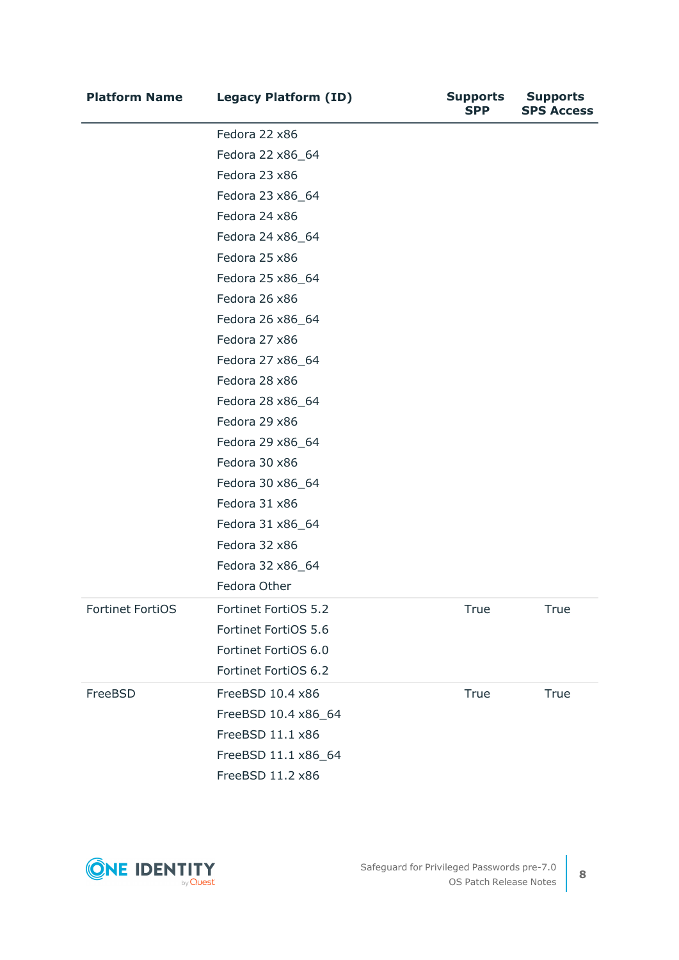| <b>Platform Name</b>    | <b>Legacy Platform (ID)</b> | <b>Supports</b><br><b>SPP</b> | <b>Supports</b><br><b>SPS Access</b> |
|-------------------------|-----------------------------|-------------------------------|--------------------------------------|
|                         | Fedora 22 x86               |                               |                                      |
|                         | Fedora 22 x86_64            |                               |                                      |
|                         | Fedora 23 x86               |                               |                                      |
|                         | Fedora 23 x86_64            |                               |                                      |
|                         | Fedora 24 x86               |                               |                                      |
|                         | Fedora 24 x86_64            |                               |                                      |
|                         | Fedora 25 x86               |                               |                                      |
|                         | Fedora 25 x86_64            |                               |                                      |
|                         | Fedora 26 x86               |                               |                                      |
|                         | Fedora 26 x86_64            |                               |                                      |
|                         | Fedora 27 x86               |                               |                                      |
|                         | Fedora 27 x86_64            |                               |                                      |
|                         | Fedora 28 x86               |                               |                                      |
|                         | Fedora 28 x86_64            |                               |                                      |
|                         | Fedora 29 x86               |                               |                                      |
|                         | Fedora 29 x86_64            |                               |                                      |
|                         | Fedora 30 x86               |                               |                                      |
|                         | Fedora 30 x86_64            |                               |                                      |
|                         | Fedora 31 x86               |                               |                                      |
|                         | Fedora 31 x86_64            |                               |                                      |
|                         | Fedora 32 x86               |                               |                                      |
|                         | Fedora 32 x86_64            |                               |                                      |
|                         | Fedora Other                |                               |                                      |
| <b>Fortinet FortiOS</b> | Fortinet FortiOS 5.2        | True                          | True                                 |
|                         | Fortinet FortiOS 5.6        |                               |                                      |
|                         | Fortinet FortiOS 6.0        |                               |                                      |
|                         | Fortinet FortiOS 6.2        |                               |                                      |
| FreeBSD                 | FreeBSD 10.4 x86            | True                          | True                                 |
|                         | FreeBSD 10.4 x86_64         |                               |                                      |
|                         | FreeBSD 11.1 x86            |                               |                                      |
|                         | FreeBSD 11.1 x86_64         |                               |                                      |
|                         | FreeBSD 11.2 x86            |                               |                                      |

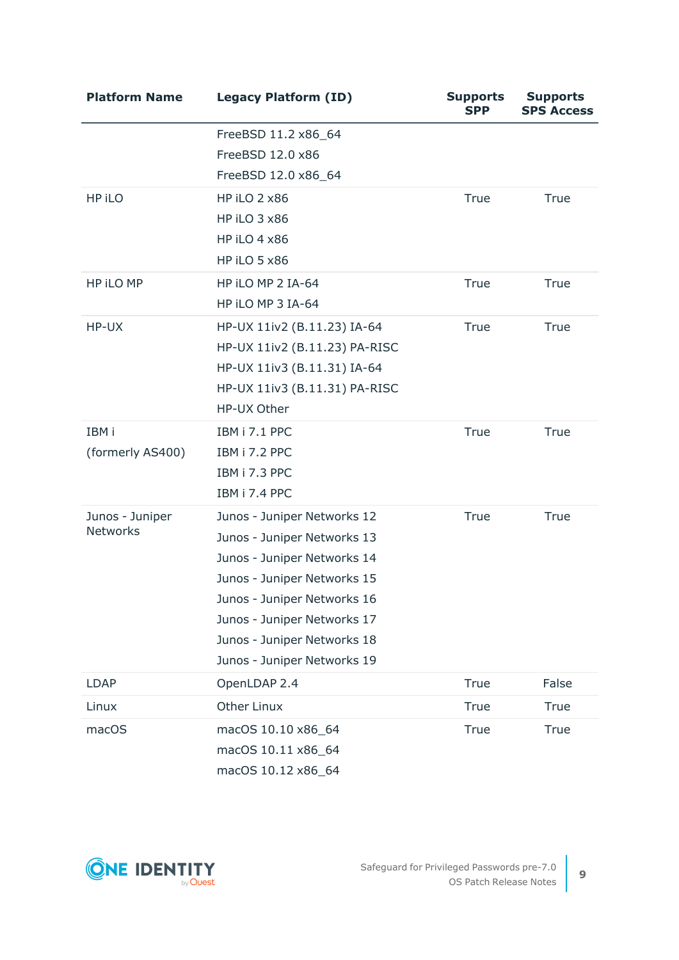| <b>Platform Name</b> | <b>Legacy Platform (ID)</b>   | <b>Supports</b><br><b>SPP</b> | <b>Supports</b><br><b>SPS Access</b> |
|----------------------|-------------------------------|-------------------------------|--------------------------------------|
|                      | FreeBSD 11.2 x86_64           |                               |                                      |
|                      | FreeBSD 12.0 x86              |                               |                                      |
|                      | FreeBSD 12.0 x86_64           |                               |                                      |
| HP iLO               | <b>HP iLO 2 x86</b>           | True                          | True                                 |
|                      | HP iLO 3 x86                  |                               |                                      |
|                      | <b>HP iLO 4 x86</b>           |                               |                                      |
|                      | <b>HP iLO 5 x86</b>           |                               |                                      |
| HP iLO MP            | HP ILO MP 2 IA-64             | True                          | True                                 |
|                      | HP iLO MP 3 IA-64             |                               |                                      |
| HP-UX                | HP-UX 11iv2 (B.11.23) IA-64   | <b>True</b>                   | True                                 |
|                      | HP-UX 11iv2 (B.11.23) PA-RISC |                               |                                      |
|                      | HP-UX 11iv3 (B.11.31) IA-64   |                               |                                      |
|                      | HP-UX 11iv3 (B.11.31) PA-RISC |                               |                                      |
|                      | HP-UX Other                   |                               |                                      |
| IBM i                | IBM i 7.1 PPC                 | True                          | True                                 |
| (formerly AS400)     | IBM i 7.2 PPC                 |                               |                                      |
|                      | IBM i 7.3 PPC                 |                               |                                      |
|                      | IBM i 7.4 PPC                 |                               |                                      |
| Junos - Juniper      | Junos - Juniper Networks 12   | True                          | True                                 |
| <b>Networks</b>      | Junos - Juniper Networks 13   |                               |                                      |
|                      | Junos - Juniper Networks 14   |                               |                                      |
|                      | Junos - Juniper Networks 15   |                               |                                      |
|                      | Junos - Juniper Networks 16   |                               |                                      |
|                      | Junos - Juniper Networks 17   |                               |                                      |
|                      | Junos - Juniper Networks 18   |                               |                                      |
|                      | Junos - Juniper Networks 19   |                               |                                      |
| <b>LDAP</b>          | OpenLDAP 2.4                  | True                          | False                                |
| Linux                | <b>Other Linux</b>            | True                          | True                                 |
| macOS                | macOS 10.10 x86_64            | True                          | True                                 |
|                      | macOS 10.11 x86_64            |                               |                                      |
|                      | macOS 10.12 x86_64            |                               |                                      |



**9**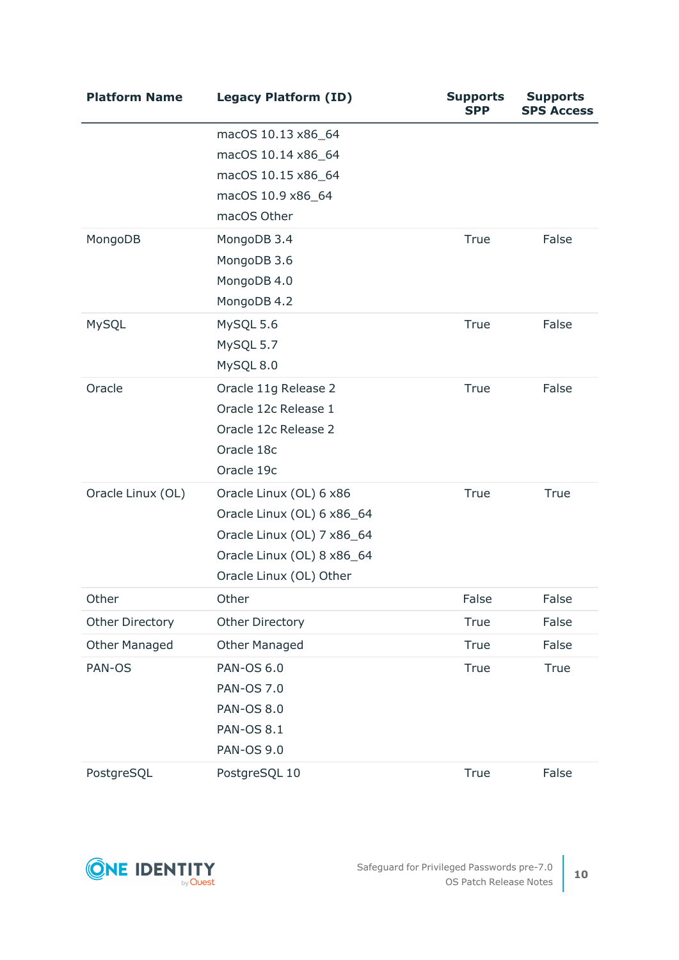| <b>Platform Name</b>   | <b>Legacy Platform (ID)</b>              | <b>Supports</b><br><b>SPP</b> | <b>Supports</b><br><b>SPS Access</b> |
|------------------------|------------------------------------------|-------------------------------|--------------------------------------|
|                        | macOS 10.13 x86_64<br>macOS 10.14 x86_64 |                               |                                      |
|                        | macOS 10.15 x86_64                       |                               |                                      |
|                        | macOS 10.9 x86_64                        |                               |                                      |
|                        | macOS Other                              |                               |                                      |
| MongoDB                | MongoDB 3.4                              | True                          | False                                |
|                        | MongoDB 3.6                              |                               |                                      |
|                        | MongoDB 4.0                              |                               |                                      |
|                        | MongoDB 4.2                              |                               |                                      |
| MySQL                  | MySQL 5.6                                | True                          | False                                |
|                        | MySQL 5.7                                |                               |                                      |
|                        | MySQL 8.0                                |                               |                                      |
| Oracle                 | Oracle 11g Release 2                     | True                          | False                                |
|                        | Oracle 12c Release 1                     |                               |                                      |
|                        | Oracle 12c Release 2                     |                               |                                      |
|                        | Oracle 18c                               |                               |                                      |
|                        | Oracle 19c                               |                               |                                      |
| Oracle Linux (OL)      | Oracle Linux (OL) 6 x86                  | True                          | True                                 |
|                        | Oracle Linux (OL) 6 x86_64               |                               |                                      |
|                        | Oracle Linux (OL) 7 x86_64               |                               |                                      |
|                        | Oracle Linux (OL) 8 x86_64               |                               |                                      |
|                        | Oracle Linux (OL) Other                  |                               |                                      |
| Other                  | Other                                    | False                         | False                                |
| <b>Other Directory</b> | Other Directory                          | True                          | False                                |
| <b>Other Managed</b>   | <b>Other Managed</b>                     | True                          | False                                |
| PAN-OS                 | <b>PAN-OS 6.0</b>                        | <b>True</b>                   | True                                 |
|                        | <b>PAN-OS 7.0</b>                        |                               |                                      |
|                        | <b>PAN-OS 8.0</b>                        |                               |                                      |
|                        | <b>PAN-OS 8.1</b>                        |                               |                                      |
|                        | <b>PAN-OS 9.0</b>                        |                               |                                      |
| PostgreSQL             | PostgreSQL 10                            | True                          | False                                |

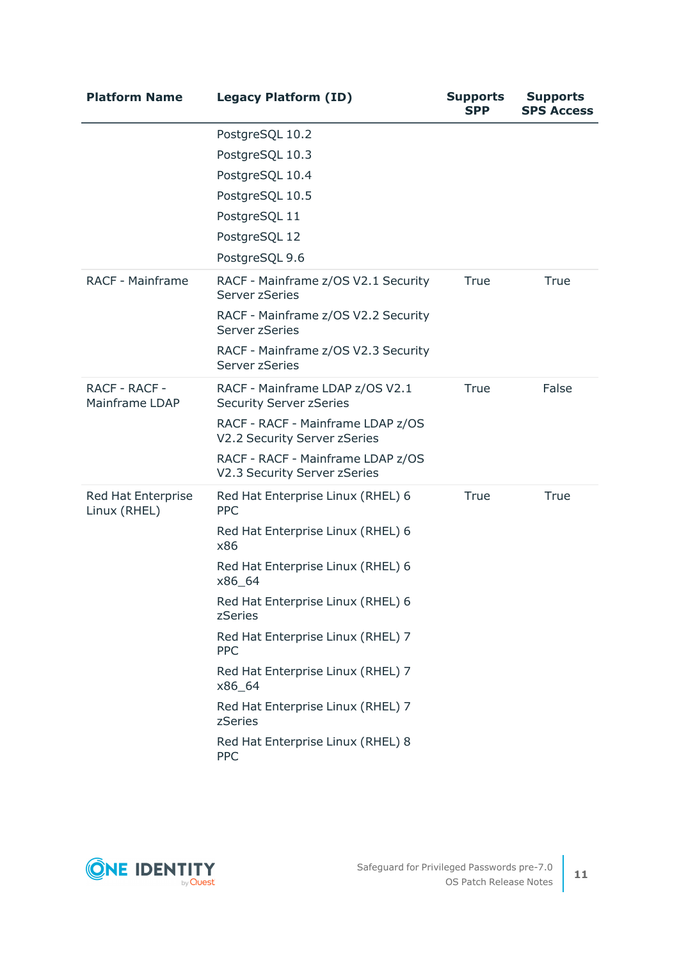| <b>Platform Name</b>               | <b>Legacy Platform (ID)</b>                                       | <b>Supports</b><br><b>SPP</b> | <b>Supports</b><br><b>SPS Access</b> |
|------------------------------------|-------------------------------------------------------------------|-------------------------------|--------------------------------------|
|                                    | PostgreSQL 10.2                                                   |                               |                                      |
|                                    | PostgreSQL 10.3                                                   |                               |                                      |
|                                    | PostgreSQL 10.4                                                   |                               |                                      |
|                                    | PostgreSQL 10.5                                                   |                               |                                      |
|                                    | PostgreSQL 11                                                     |                               |                                      |
|                                    | PostgreSQL 12                                                     |                               |                                      |
|                                    | PostgreSQL 9.6                                                    |                               |                                      |
| <b>RACF - Mainframe</b>            | RACF - Mainframe z/OS V2.1 Security<br>Server zSeries             | <b>True</b>                   | True                                 |
|                                    | RACF - Mainframe z/OS V2.2 Security<br>Server zSeries             |                               |                                      |
|                                    | RACF - Mainframe z/OS V2.3 Security<br>Server zSeries             |                               |                                      |
| RACF - RACF -<br>Mainframe LDAP    | RACF - Mainframe LDAP z/OS V2.1<br><b>Security Server zSeries</b> | True                          | False                                |
|                                    | RACF - RACF - Mainframe LDAP z/OS<br>V2.2 Security Server zSeries |                               |                                      |
|                                    | RACF - RACF - Mainframe LDAP z/OS<br>V2.3 Security Server zSeries |                               |                                      |
| Red Hat Enterprise<br>Linux (RHEL) | Red Hat Enterprise Linux (RHEL) 6<br><b>PPC</b>                   | True                          | True                                 |
|                                    | Red Hat Enterprise Linux (RHEL) 6<br>x86                          |                               |                                      |
|                                    | Red Hat Enterprise Linux (RHEL) 6<br>x86_64                       |                               |                                      |
|                                    | Red Hat Enterprise Linux (RHEL) 6<br>zSeries                      |                               |                                      |
|                                    | Red Hat Enterprise Linux (RHEL) 7<br>PPC                          |                               |                                      |
|                                    | Red Hat Enterprise Linux (RHEL) 7<br>x86_64                       |                               |                                      |
|                                    | Red Hat Enterprise Linux (RHEL) 7<br>zSeries                      |                               |                                      |
|                                    | Red Hat Enterprise Linux (RHEL) 8<br>PPC                          |                               |                                      |

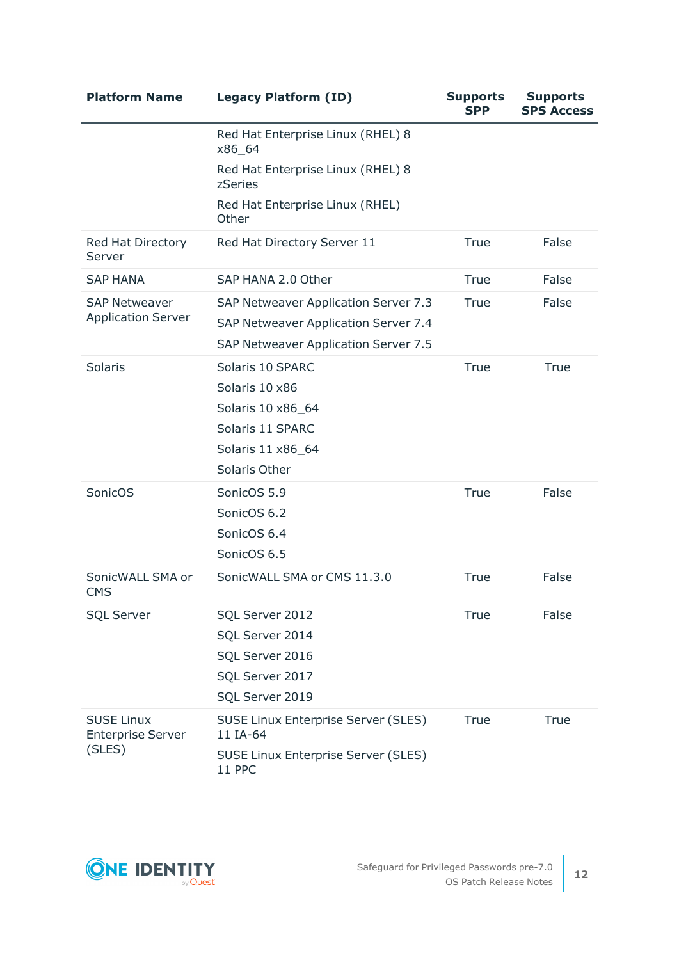| <b>Platform Name</b>                                    | <b>Legacy Platform (ID)</b>                                                                                          | <b>Supports</b><br><b>SPP</b> | <b>Supports</b><br><b>SPS Access</b> |
|---------------------------------------------------------|----------------------------------------------------------------------------------------------------------------------|-------------------------------|--------------------------------------|
|                                                         | Red Hat Enterprise Linux (RHEL) 8<br>x86_64                                                                          |                               |                                      |
|                                                         | Red Hat Enterprise Linux (RHEL) 8<br>zSeries                                                                         |                               |                                      |
|                                                         | Red Hat Enterprise Linux (RHEL)<br>Other                                                                             |                               |                                      |
| <b>Red Hat Directory</b><br>Server                      | Red Hat Directory Server 11                                                                                          | True                          | False                                |
| <b>SAP HANA</b>                                         | SAP HANA 2.0 Other                                                                                                   | True                          | False                                |
| <b>SAP Netweaver</b><br><b>Application Server</b>       | SAP Netweaver Application Server 7.3<br>SAP Netweaver Application Server 7.4<br>SAP Netweaver Application Server 7.5 | True                          | False                                |
| <b>Solaris</b>                                          | Solaris 10 SPARC<br>Solaris 10 x86<br>Solaris 10 x86_64<br>Solaris 11 SPARC<br>Solaris 11 x86_64<br>Solaris Other    | True                          | True                                 |
| SonicOS                                                 | SonicOS 5.9<br>SonicOS 6.2<br>SonicOS 6.4<br>SonicOS 6.5                                                             | True                          | False                                |
| SonicWALL SMA or<br><b>CMS</b>                          | SonicWALL SMA or CMS 11.3.0                                                                                          | True                          | False                                |
| <b>SQL Server</b>                                       | SQL Server 2012<br>SQL Server 2014<br>SQL Server 2016<br>SQL Server 2017<br>SQL Server 2019                          | True                          | False                                |
| <b>SUSE Linux</b><br><b>Enterprise Server</b><br>(SLES) | <b>SUSE Linux Enterprise Server (SLES)</b><br>11 IA-64<br><b>SUSE Linux Enterprise Server (SLES)</b><br>11 PPC       | True                          | True                                 |

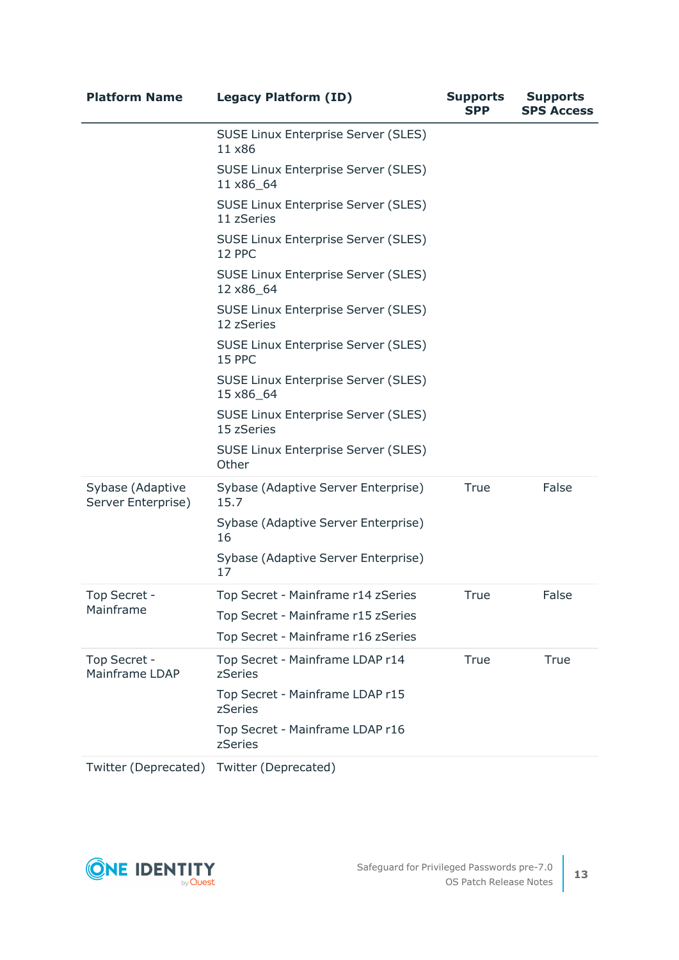| <b>Platform Name</b>                   | <b>Legacy Platform (ID)</b>                              | <b>Supports</b><br>SPP | <b>Supports</b><br><b>SPS Access</b> |
|----------------------------------------|----------------------------------------------------------|------------------------|--------------------------------------|
|                                        | <b>SUSE Linux Enterprise Server (SLES)</b><br>11 x86     |                        |                                      |
|                                        | <b>SUSE Linux Enterprise Server (SLES)</b><br>11 x86_64  |                        |                                      |
|                                        | <b>SUSE Linux Enterprise Server (SLES)</b><br>11 zSeries |                        |                                      |
|                                        | <b>SUSE Linux Enterprise Server (SLES)</b><br>12 PPC     |                        |                                      |
|                                        | <b>SUSE Linux Enterprise Server (SLES)</b><br>12 x86_64  |                        |                                      |
|                                        | <b>SUSE Linux Enterprise Server (SLES)</b><br>12 zSeries |                        |                                      |
|                                        | <b>SUSE Linux Enterprise Server (SLES)</b><br>15 PPC     |                        |                                      |
|                                        | <b>SUSE Linux Enterprise Server (SLES)</b><br>15 x86_64  |                        |                                      |
|                                        | <b>SUSE Linux Enterprise Server (SLES)</b><br>15 zSeries |                        |                                      |
|                                        | <b>SUSE Linux Enterprise Server (SLES)</b><br>Other      |                        |                                      |
| Sybase (Adaptive<br>Server Enterprise) | Sybase (Adaptive Server Enterprise)<br>15.7              | True                   | False                                |
|                                        | Sybase (Adaptive Server Enterprise)<br>16                |                        |                                      |
|                                        | Sybase (Adaptive Server Enterprise)<br>17                |                        |                                      |
| Top Secret -                           | Top Secret - Mainframe r14 zSeries                       | True                   | False                                |
| Mainframe                              | Top Secret - Mainframe r15 zSeries                       |                        |                                      |
|                                        | Top Secret - Mainframe r16 zSeries                       |                        |                                      |
| Top Secret -<br><b>Mainframe LDAP</b>  | Top Secret - Mainframe LDAP r14<br>zSeries               | True                   | True                                 |
|                                        | Top Secret - Mainframe LDAP r15<br>zSeries               |                        |                                      |
|                                        | Top Secret - Mainframe LDAP r16<br>zSeries               |                        |                                      |
|                                        |                                                          |                        |                                      |

Twitter (Deprecated) Twitter (Deprecated)

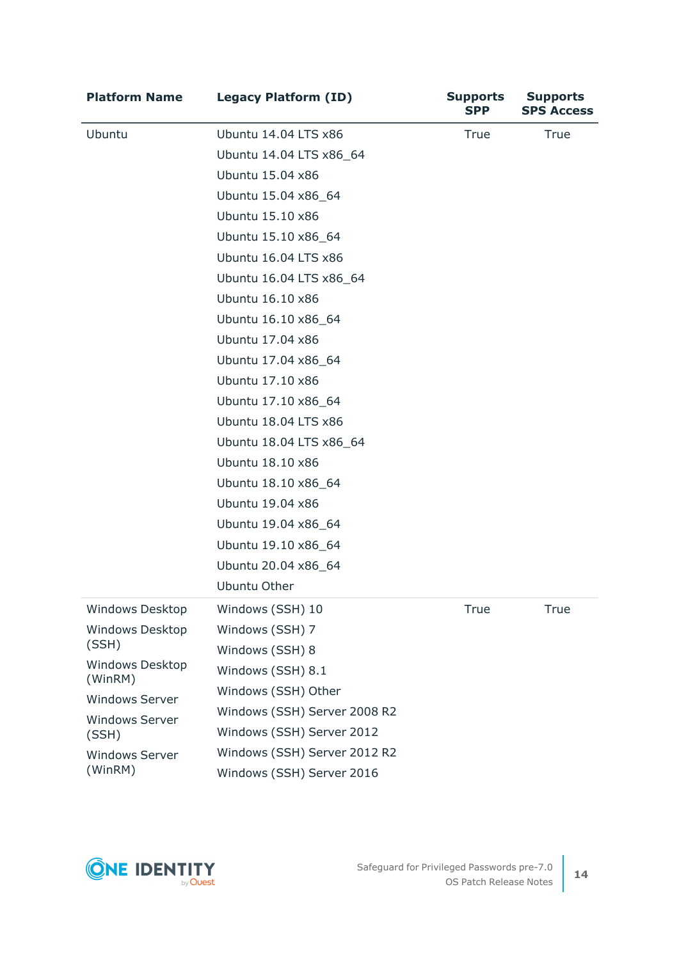| <b>Platform Name</b>                                                | <b>Legacy Platform (ID)</b>  | <b>Supports</b><br><b>SPP</b> | <b>Supports</b><br><b>SPS Access</b> |
|---------------------------------------------------------------------|------------------------------|-------------------------------|--------------------------------------|
| Ubuntu                                                              | Ubuntu 14.04 LTS x86         | <b>True</b>                   | True                                 |
|                                                                     | Ubuntu 14.04 LTS x86_64      |                               |                                      |
|                                                                     | Ubuntu 15.04 x86             |                               |                                      |
|                                                                     | Ubuntu 15.04 x86_64          |                               |                                      |
|                                                                     | Ubuntu 15.10 x86             |                               |                                      |
|                                                                     | Ubuntu 15.10 x86_64          |                               |                                      |
|                                                                     | Ubuntu 16.04 LTS x86         |                               |                                      |
|                                                                     | Ubuntu 16.04 LTS x86_64      |                               |                                      |
|                                                                     | Ubuntu 16.10 x86             |                               |                                      |
|                                                                     | Ubuntu 16.10 x86_64          |                               |                                      |
|                                                                     | Ubuntu 17.04 x86             |                               |                                      |
|                                                                     | Ubuntu 17.04 x86_64          |                               |                                      |
|                                                                     | Ubuntu 17.10 x86             |                               |                                      |
|                                                                     | Ubuntu 17.10 x86_64          |                               |                                      |
|                                                                     | Ubuntu 18.04 LTS x86         |                               |                                      |
|                                                                     | Ubuntu 18.04 LTS x86_64      |                               |                                      |
|                                                                     | Ubuntu 18.10 x86             |                               |                                      |
|                                                                     | Ubuntu 18.10 x86_64          |                               |                                      |
|                                                                     | Ubuntu 19.04 x86             |                               |                                      |
|                                                                     | Ubuntu 19.04 x86_64          |                               |                                      |
|                                                                     | Ubuntu 19.10 x86_64          |                               |                                      |
|                                                                     | Ubuntu 20.04 x86_64          |                               |                                      |
|                                                                     | <b>Ubuntu Other</b>          |                               |                                      |
| Windows Desktop                                                     | Windows (SSH) 10             | True                          | <b>True</b>                          |
| <b>Windows Desktop</b>                                              | Windows (SSH) 7              |                               |                                      |
| (SSH)<br><b>Windows Desktop</b><br>(WinRM)<br><b>Windows Server</b> | Windows (SSH) 8              |                               |                                      |
|                                                                     | Windows (SSH) 8.1            |                               |                                      |
|                                                                     | Windows (SSH) Other          |                               |                                      |
| <b>Windows Server</b>                                               | Windows (SSH) Server 2008 R2 |                               |                                      |
| (SSH)                                                               | Windows (SSH) Server 2012    |                               |                                      |
| <b>Windows Server</b><br>(WinRM)                                    | Windows (SSH) Server 2012 R2 |                               |                                      |
|                                                                     | Windows (SSH) Server 2016    |                               |                                      |

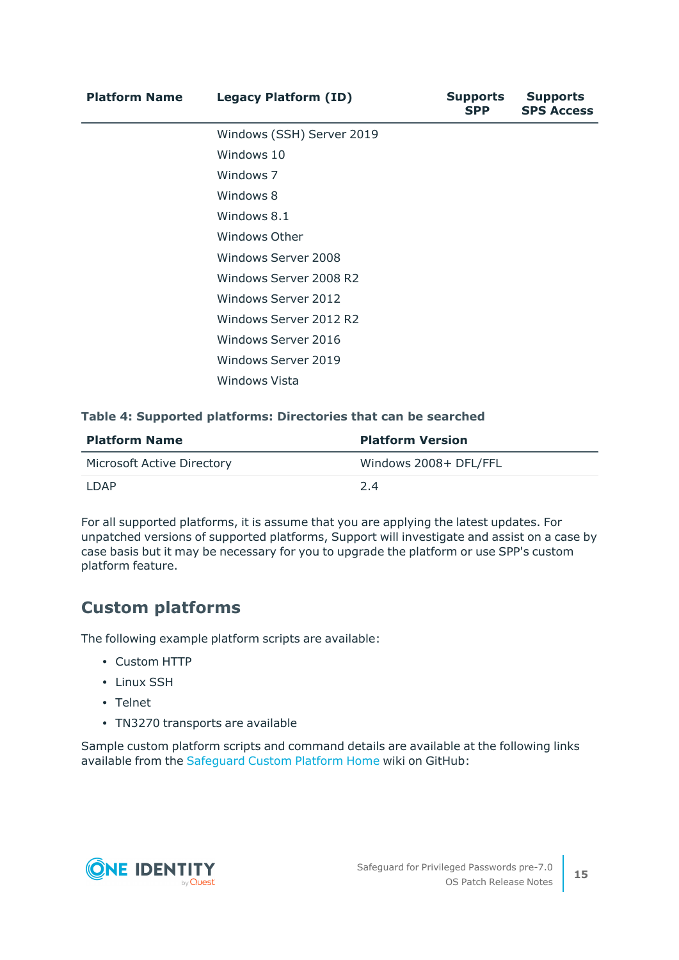| <b>Platform Name</b> | <b>Legacy Platform (ID)</b> | <b>Supports</b><br><b>SPP</b> | <b>Supports</b><br><b>SPS Access</b> |
|----------------------|-----------------------------|-------------------------------|--------------------------------------|
|                      | Windows (SSH) Server 2019   |                               |                                      |
|                      | Windows 10                  |                               |                                      |
|                      | Windows 7                   |                               |                                      |
|                      | Windows 8                   |                               |                                      |
|                      | Windows 8.1                 |                               |                                      |
|                      | Windows Other               |                               |                                      |
|                      | Windows Server 2008         |                               |                                      |
|                      | Windows Server 2008 R2      |                               |                                      |
|                      | <b>Windows Server 2012</b>  |                               |                                      |
|                      | Windows Server 2012 R2      |                               |                                      |
|                      | Windows Server 2016         |                               |                                      |
|                      | Windows Server 2019         |                               |                                      |
|                      | <b>Windows Vista</b>        |                               |                                      |
|                      |                             |                               |                                      |

#### **Table 4: Supported platforms: Directories that can be searched**

| <b>Platform Name</b>              | <b>Platform Version</b> |
|-----------------------------------|-------------------------|
| <b>Microsoft Active Directory</b> | Windows 2008+ DFL/FFL   |
| I DAP                             | 24                      |

For all supported platforms, it is assume that you are applying the latest updates. For unpatched versions of supported platforms, Support will investigate and assist on a case by case basis but it may be necessary for you to upgrade the platform or use SPP's custom platform feature.

### **Custom platforms**

The following example platform scripts are available:

- Custom HTTP
- $\cdot$  Linux SSH
- Telnet
- TN3270 transports are available

Sample custom platform scripts and command details are available at the following links available from the [Safeguard](https://github.com/OneIdentity/SafeguardCustomPlatform/wiki) Custom Platform Home wiki on GitHub:

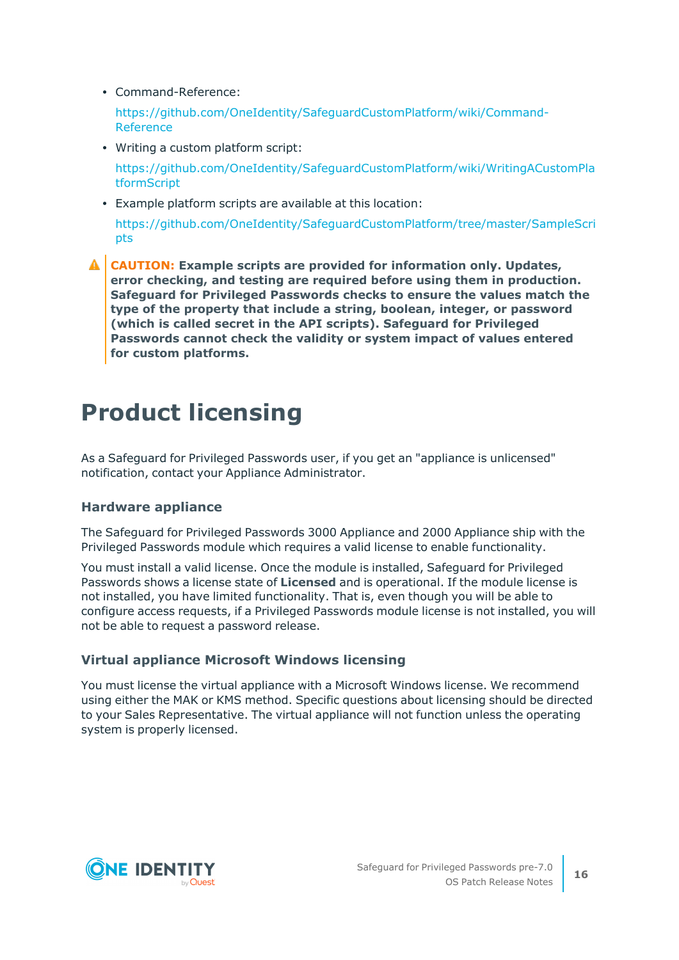• Command-Reference:

[https://github.com/OneIdentity/SafeguardCustomPlatform/wiki/Command-](https://github.com/OneIdentity/SafeguardCustomPlatform/wiki/Command-Reference)[Reference](https://github.com/OneIdentity/SafeguardCustomPlatform/wiki/Command-Reference)

- Writing a custom platform script: [https://github.com/OneIdentity/SafeguardCustomPlatform/wiki/WritingACustomPla](https://github.com/OneIdentity/SafeguardCustomPlatform/wiki/WritingACustomPlatformScript) [tformScript](https://github.com/OneIdentity/SafeguardCustomPlatform/wiki/WritingACustomPlatformScript)
- Example platform scripts are available at this location:

[https://github.com/OneIdentity/SafeguardCustomPlatform/tree/master/SampleScri](https://github.com/OneIdentity/SafeguardCustomPlatform/tree/master/SampleScripts) [pts](https://github.com/OneIdentity/SafeguardCustomPlatform/tree/master/SampleScripts)

**CAUTION: Example scripts are provided for information only. Updates, error checking, and testing are required before using them in production. Safeguard for Privileged Passwords checks to ensure the values match the type of the property that include a string, boolean, integer, or password (which is called secret in the API scripts). Safeguard for Privileged Passwords cannot check the validity or system impact of values entered for custom platforms.**

# **Product licensing**

As a Safeguard for Privileged Passwords user, if you get an "appliance is unlicensed" notification, contact your Appliance Administrator.

#### **Hardware appliance**

The Safeguard for Privileged Passwords 3000 Appliance and 2000 Appliance ship with the Privileged Passwords module which requires a valid license to enable functionality.

You must install a valid license. Once the module is installed, Safeguard for Privileged Passwords shows a license state of **Licensed** and is operational. If the module license is not installed, you have limited functionality. That is, even though you will be able to configure access requests, if a Privileged Passwords module license is not installed, you will not be able to request a password release.

#### **Virtual appliance Microsoft Windows licensing**

You must license the virtual appliance with a Microsoft Windows license. We recommend using either the MAK or KMS method. Specific questions about licensing should be directed to your Sales Representative. The virtual appliance will not function unless the operating system is properly licensed.

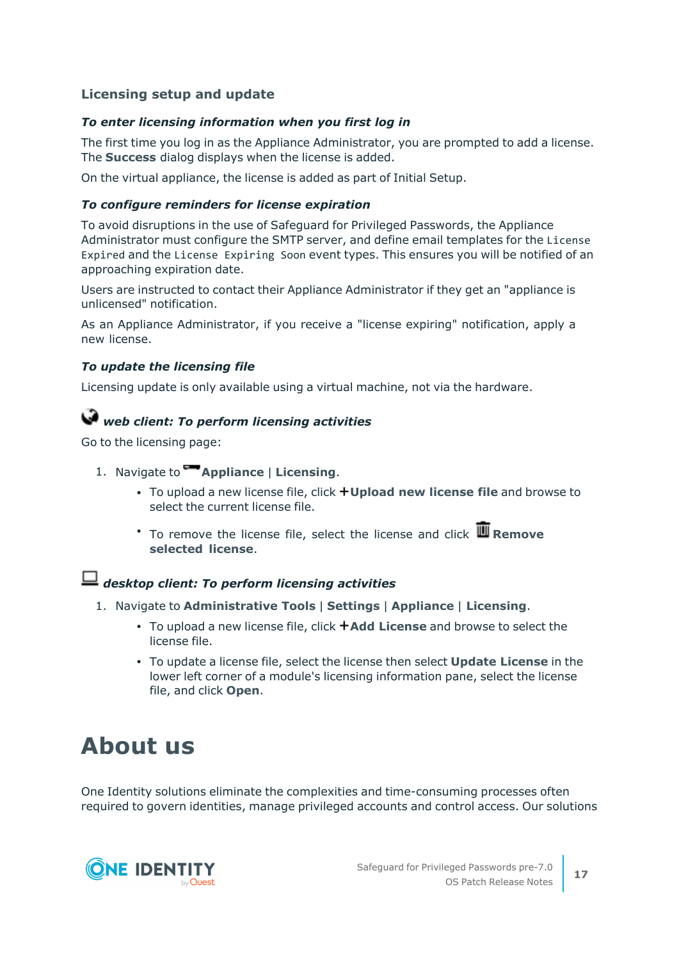#### **Licensing setup and update**

#### *To enter licensing information when you first log in*

The first time you log in as the Appliance Administrator, you are prompted to add a license. The **Success** dialog displays when the license is added.

On the virtual appliance, the license is added as part of Initial Setup.

#### *To configure reminders for license expiration*

To avoid disruptions in the use of Safeguard for Privileged Passwords, the Appliance Administrator must configure the SMTP server, and define email templates for the License Expired and the License Expiring Soon event types. This ensures you will be notified of an approaching expiration date.

Users are instructed to contact their Appliance Administrator if they get an "appliance is unlicensed" notification.

As an Appliance Administrator, if you receive a "license expiring" notification, apply a new license.

#### *To update the licensing file*

Licensing update is only available using a virtual machine, not via the hardware.

### *web client: To perform licensing activities*

Go to the licensing page:

- 1. Navigate to **Appliance** | **Licensing**.
	- <sup>l</sup> To upload a new license file, click **Upload new license file** and browse to select the current license file.
	- <sup>•</sup> To remove the license file, select the license and click **III** Remove **selected license**.

### *desktop client: To perform licensing activities*

- 1. Navigate to **Administrative Tools** | **Settings** | **Appliance** | **Licensing**.
	- **•** To upload a new license file, click **+Add License** and browse to select the license file.
	- <sup>l</sup> To update a license file, select the license then select **Update License** in the lower left corner of a module's licensing information pane, select the license file, and click **Open**.

## **About us**

One Identity solutions eliminate the complexities and time-consuming processes often required to govern identities, manage privileged accounts and control access. Our solutions

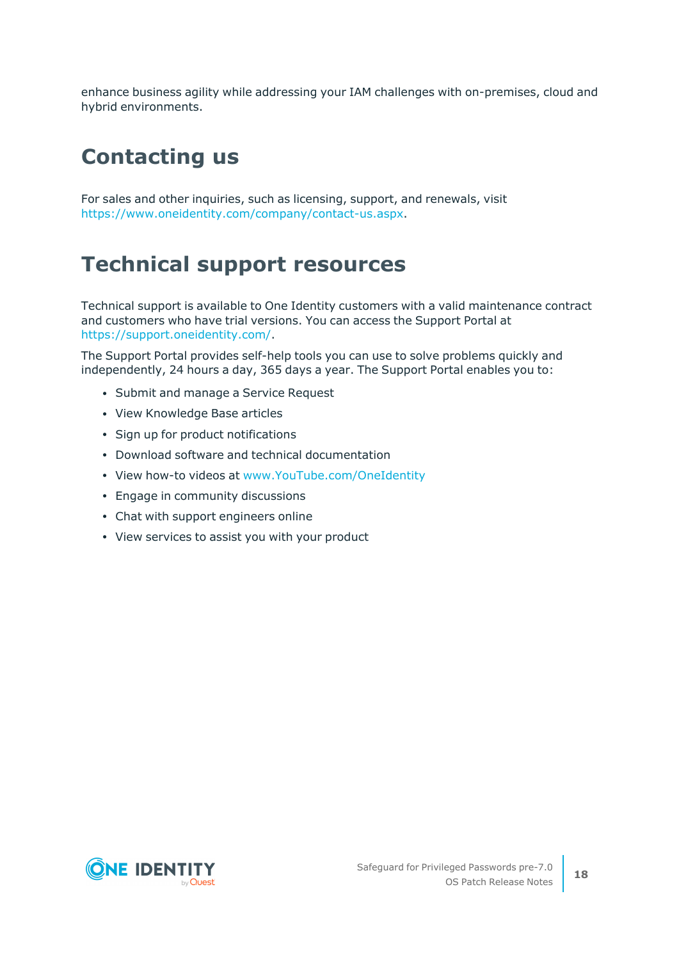enhance business agility while addressing your IAM challenges with on-premises, cloud and hybrid environments.

## **Contacting us**

For sales and other inquiries, such as licensing, support, and renewals, visit [https://www.oneidentity.com/company/contact-us.aspx.](https://www.oneidentity.com/company/contact-us.aspx)

### **Technical support resources**

Technical support is available to One Identity customers with a valid maintenance contract and customers who have trial versions. You can access the Support Portal at [https://support.oneidentity.com/.](https://support.oneidentity.com/)

The Support Portal provides self-help tools you can use to solve problems quickly and independently, 24 hours a day, 365 days a year. The Support Portal enables you to:

- Submit and manage a Service Request
- View Knowledge Base articles
- Sign up for product notifications
- Download software and technical documentation
- View how-to videos at [www.YouTube.com/OneIdentity](http://www.youtube.com/OneIdentity)
- Engage in community discussions
- Chat with support engineers online
- View services to assist you with your product